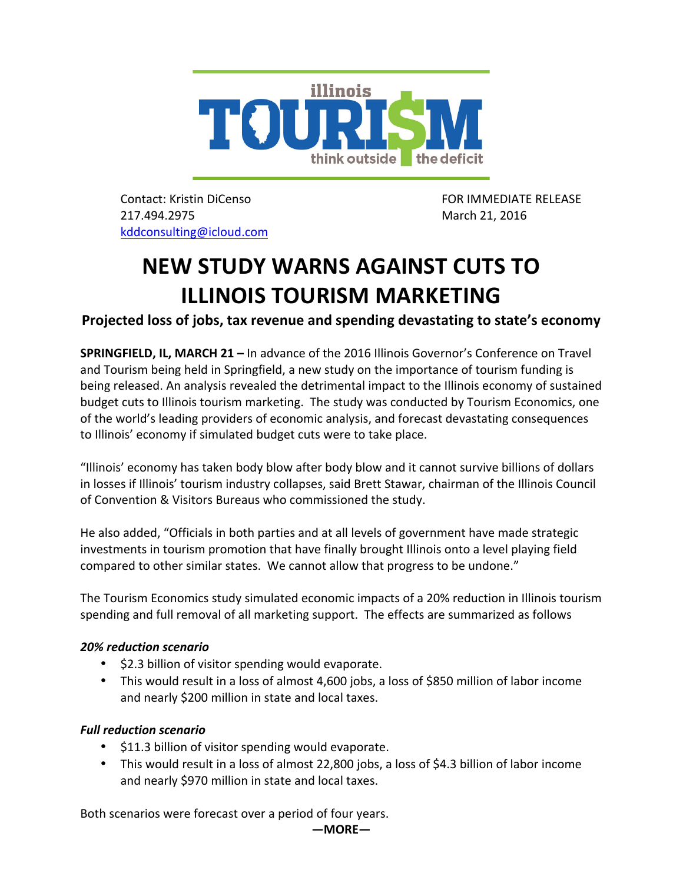

Contact: Kristin DiCenso FOR IMMEDIATE RELEASE 217.494.2975 March 21, 2016 kddconsulting@icloud.com

## **NEW STUDY WARNS AGAINST CUTS TO ILLINOIS TOURISM MARKETING**

**Projected loss of jobs, tax revenue and spending devastating to state's economy** 

**SPRINGFIELD, IL, MARCH 21** – In advance of the 2016 Illinois Governor's Conference on Travel and Tourism being held in Springfield, a new study on the importance of tourism funding is being released. An analysis revealed the detrimental impact to the Illinois economy of sustained budget cuts to Illinois tourism marketing. The study was conducted by Tourism Economics, one of the world's leading providers of economic analysis, and forecast devastating consequences to Illinois' economy if simulated budget cuts were to take place.

"Illinois' economy has taken body blow after body blow and it cannot survive billions of dollars in losses if Illinois' tourism industry collapses, said Brett Stawar, chairman of the Illinois Council of Convention & Visitors Bureaus who commissioned the study.

He also added, "Officials in both parties and at all levels of government have made strategic investments in tourism promotion that have finally brought Illinois onto a level playing field compared to other similar states. We cannot allow that progress to be undone."

The Tourism Economics study simulated economic impacts of a 20% reduction in Illinois tourism spending and full removal of all marketing support. The effects are summarized as follows

## *20% reduction scenario*

- \$2.3 billion of visitor spending would evaporate.
- This would result in a loss of almost 4,600 jobs, a loss of \$850 million of labor income and nearly \$200 million in state and local taxes.

## *Full reduction scenario*

- \$11.3 billion of visitor spending would evaporate.
- This would result in a loss of almost 22,800 jobs, a loss of \$4.3 billion of labor income and nearly \$970 million in state and local taxes.

Both scenarios were forecast over a period of four years.

**—MORE—**